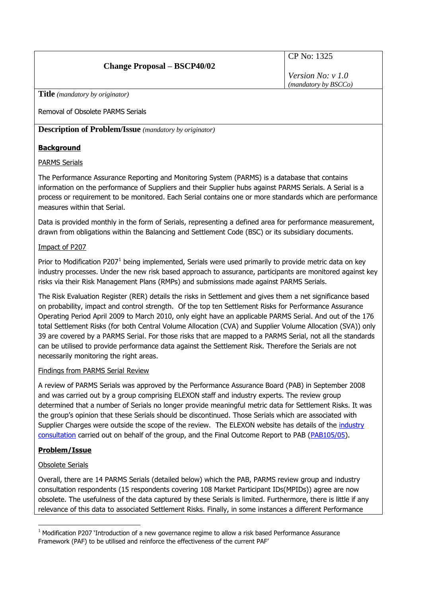# **Change Proposal – BSCP40/02**

CP No: 1325

*Version No: v 1.0 (mandatory by BSCCo)*

**Title** *(mandatory by originator)*

Removal of Obsolete PARMS Serials

**Description of Problem/Issue** *(mandatory by originator)*

# **Background**

# PARMS Serials

The Performance Assurance Reporting and Monitoring System (PARMS) is a database that contains information on the performance of Suppliers and their Supplier hubs against PARMS Serials. A Serial is a process or requirement to be monitored. Each Serial contains one or more standards which are performance measures within that Serial.

Data is provided monthly in the form of Serials, representing a defined area for performance measurement, drawn from obligations within the Balancing and Settlement Code (BSC) or its subsidiary documents.

# Impact of P207

Prior to Modification P207<sup>1</sup> being implemented, Serials were used primarily to provide metric data on key industry processes. Under the new risk based approach to assurance, participants are monitored against key risks via their Risk Management Plans (RMPs) and submissions made against PARMS Serials.

The Risk Evaluation Register (RER) details the risks in Settlement and gives them a net significance based on probability, impact and control strength. Of the top ten Settlement Risks for Performance Assurance Operating Period April 2009 to March 2010, only eight have an applicable PARMS Serial. And out of the 176 total Settlement Risks (for both Central Volume Allocation (CVA) and Supplier Volume Allocation (SVA)) only 39 are covered by a PARMS Serial. For those risks that are mapped to a PARMS Serial, not all the standards can be utilised to provide performance data against the Settlement Risk. Therefore the Serials are not necessarily monitoring the right areas.

## Findings from PARMS Serial Review

A review of PARMS Serials was approved by the Performance Assurance Board (PAB) in September 2008 and was carried out by a group comprising ELEXON staff and industry experts. The review group determined that a number of Serials no longer provide meaningful metric data for Settlement Risks. It was the group"s opinion that these Serials should be discontinued. Those Serials which are associated with Supplier Charges were outside the scope of the review. The ELEXON website has details of the industry [consultation](http://www.elexon.co.uk/documents/consultations/parms_serial_review_consultation/parms_serials_review_2009_report_v1.0.pdf) carried out on behalf of the group, and the Final Outcome Report to PAB [\(PAB105/05\)](http://www.elexon.co.uk/documents/bsc_panel_and_panel_committees/pab_meeting_2009_-_105_-_papers/pab105_05_parms_serial_review_2009_final_report.pdf).

# **Problem/Issue**

## Obsolete Serials

Overall, there are 14 PARMS Serials (detailed below) which the PAB, PARMS review group and industry consultation respondents (15 respondents covering 108 Market Participant IDs(MPIDs)) agree are now obsolete. The usefulness of the data captured by these Serials is limited. Furthermore, there is little if any relevance of this data to associated Settlement Risks. Finally, in some instances a different Performance

<sup>1</sup>  $1$  Modification P207 'Introduction of a new governance regime to allow a risk based Performance Assurance Framework (PAF) to be utilised and reinforce the effectiveness of the current PAF"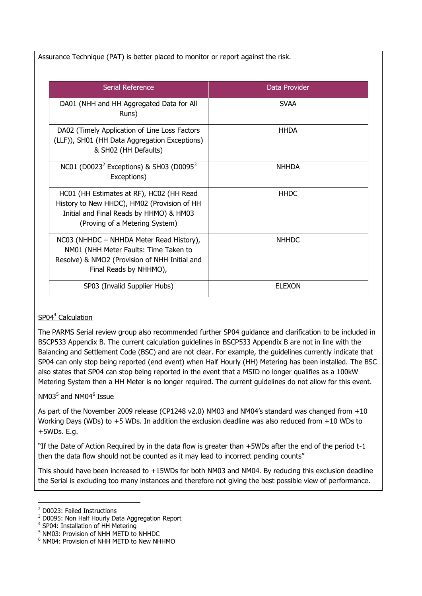| Serial Reference                                                                                                                                                     | Data Provider |
|----------------------------------------------------------------------------------------------------------------------------------------------------------------------|---------------|
| DA01 (NHH and HH Aggregated Data for All<br>Runs)                                                                                                                    | <b>SVAA</b>   |
| DA02 (Timely Application of Line Loss Factors<br>(LLF)), SH01 (HH Data Aggregation Exceptions)<br>& SH02 (HH Defaults)                                               | <b>HHDA</b>   |
| NC01 (D0023 <sup>2</sup> Exceptions) & SH03 (D0095 <sup>3</sup><br>Exceptions)                                                                                       | <b>NHHDA</b>  |
| HC01 (HH Estimates at RF), HC02 (HH Read<br>History to New HHDC), HM02 (Provision of HH<br>Initial and Final Reads by HHMO) & HM03<br>(Proving of a Metering System) | <b>HHDC</b>   |
| NC03 (NHHDC – NHHDA Meter Read History),<br>NM01 (NHH Meter Faults: Time Taken to<br>Resolve) & NMO2 (Provision of NHH Initial and<br>Final Reads by NHHMO),         | <b>NHHDC</b>  |
| SP03 (Invalid Supplier Hubs)                                                                                                                                         | <b>ELEXON</b> |

# SP04<sup>4</sup> Calculation

The PARMS Serial review group also recommended further SP04 guidance and clarification to be included in BSCP533 Appendix B. The current calculation guidelines in BSCP533 Appendix B are not in line with the Balancing and Settlement Code (BSC) and are not clear. For example, the guidelines currently indicate that SP04 can only stop being reported (end event) when Half Hourly (HH) Metering has been installed. The BSC also states that SP04 can stop being reported in the event that a MSID no longer qualifies as a 100kW Metering System then a HH Meter is no longer required. The current guidelines do not allow for this event.

# NM03<sup>5</sup> and NM04<sup>6</sup> Issue

As part of the November 2009 release (CP1248 v2.0) NM03 and NM04"s standard was changed from +10 Working Days (WDs) to +5 WDs. In addition the exclusion deadline was also reduced from +10 WDs to +5WDs. E.g.

"If the Date of Action Required by in the data flow is greater than +5WDs after the end of the period t-1 then the data flow should not be counted as it may lead to incorrect pending counts"

This should have been increased to +15WDs for both NM03 and NM04. By reducing this exclusion deadline the Serial is excluding too many instances and therefore not giving the best possible view of performance.

<sup>1</sup> <sup>2</sup> D0023: Failed Instructions

<sup>3</sup> D0095: Non Half Hourly Data Aggregation Report

<sup>&</sup>lt;sup>4</sup> SP04: Installation of HH Metering

<sup>5</sup> NM03: Provision of NHH METD to NHHDC

<sup>6</sup> NM04: Provision of NHH METD to New NHHMO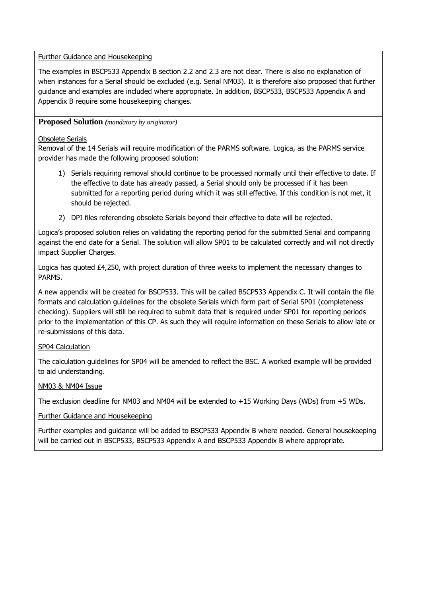#### Further Guidance and Housekeeping

The examples in BSCP533 Appendix B section 2.2 and 2.3 are not clear. There is also no explanation of when instances for a Serial should be excluded (e.g. Serial NM03). It is therefore also proposed that further guidance and examples are included where appropriate. In addition, BSCP533, BSCP533 Appendix A and Appendix B require some housekeeping changes.

### **Proposed Solution** *(mandatory by originator)*

#### Obsolete Serials

Removal of the 14 Serials will require modification of the PARMS software. Logica, as the PARMS service provider has made the following proposed solution:

- 1) Serials requiring removal should continue to be processed normally until their effective to date. If the effective to date has already passed, a Serial should only be processed if it has been submitted for a reporting period during which it was still effective. If this condition is not met, it should be rejected.
- 2) DPI files referencing obsolete Serials beyond their effective to date will be rejected.

Logica"s proposed solution relies on validating the reporting period for the submitted Serial and comparing against the end date for a Serial. The solution will allow SP01 to be calculated correctly and will not directly impact Supplier Charges.

Logica has quoted £4,250, with project duration of three weeks to implement the necessary changes to PARMS.

A new appendix will be created for BSCP533. This will be called BSCP533 Appendix C. It will contain the file formats and calculation guidelines for the obsolete Serials which form part of Serial SP01 (completeness checking). Suppliers will still be required to submit data that is required under SP01 for reporting periods prior to the implementation of this CP. As such they will require information on these Serials to allow late or re-submissions of this data.

## SP04 Calculation

The calculation guidelines for SP04 will be amended to reflect the BSC. A worked example will be provided to aid understanding.

## NM03 & NM04 Issue

The exclusion deadline for NM03 and NM04 will be extended to +15 Working Days (WDs) from +5 WDs.

## Further Guidance and Housekeeping

Further examples and guidance will be added to BSCP533 Appendix B where needed. General housekeeping will be carried out in BSCP533, BSCP533 Appendix A and BSCP533 Appendix B where appropriate.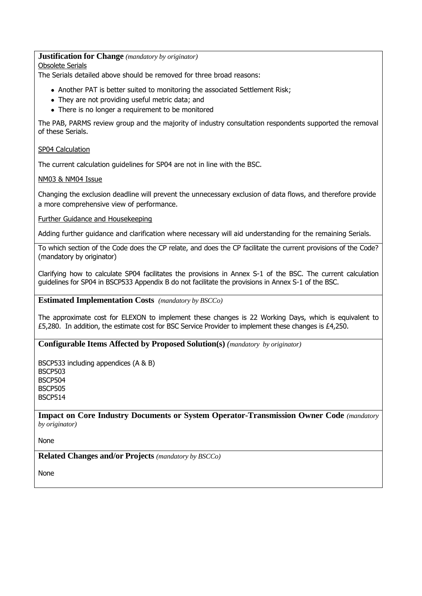#### **Justification for Change** *(mandatory by originator)*

Obsolete Serials

The Serials detailed above should be removed for three broad reasons:

- Another PAT is better suited to monitoring the associated Settlement Risk;
- They are not providing useful metric data; and
- There is no longer a requirement to be monitored

The PAB, PARMS review group and the majority of industry consultation respondents supported the removal of these Serials.

#### SP04 Calculation

The current calculation guidelines for SP04 are not in line with the BSC.

#### NM03 & NM04 Issue

Changing the exclusion deadline will prevent the unnecessary exclusion of data flows, and therefore provide a more comprehensive view of performance.

#### Further Guidance and Housekeeping

Adding further guidance and clarification where necessary will aid understanding for the remaining Serials.

To which section of the Code does the CP relate, and does the CP facilitate the current provisions of the Code? (mandatory by originator)

Clarifying how to calculate SP04 facilitates the provisions in Annex S-1 of the BSC. The current calculation guidelines for SP04 in BSCP533 Appendix B do not facilitate the provisions in Annex S-1 of the BSC.

#### **Estimated Implementation Costs** *(mandatory by BSCCo)*

The approximate cost for ELEXON to implement these changes is 22 Working Days, which is equivalent to £5,280. In addition, the estimate cost for BSC Service Provider to implement these changes is £4,250.

#### **Configurable Items Affected by Proposed Solution(s)** *(mandatory by originator)*

BSCP533 including appendices (A & B) BSCP503 BSCP504 BSCP505 BSCP514

**Impact on Core Industry Documents or System Operator-Transmission Owner Code** *(mandatory by originator)*

None

**Related Changes and/or Projects** *(mandatory by BSCCo)*

None